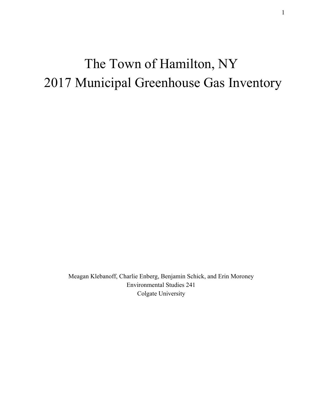# The Town of Hamilton, NY 2017 Municipal Greenhouse Gas Inventory

Meagan Klebanoff, Charlie Enberg, Benjamin Schick, and Erin Moroney Environmental Studies 241 Colgate University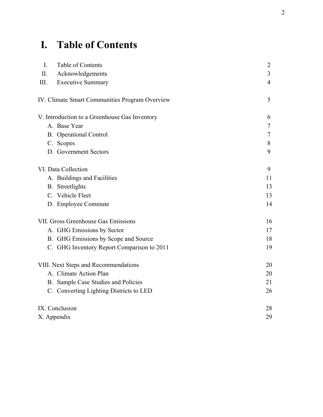# **I. Table of Contents**

| $\mathbf{I}$ .<br>Table of Contents            | 2              |
|------------------------------------------------|----------------|
| II.<br>Acknowledgements                        | $\overline{3}$ |
| III.<br><b>Executive Summary</b>               | $\overline{4}$ |
| IV. Climate Smart Communities Program Overview | 5              |
| V. Introduction to a Greenhouse Gas Inventory  | 6              |
| A. Base Year                                   | $\tau$         |
| <b>B.</b> Operational Control                  | $\tau$         |
| C. Scopes                                      | 8              |
| D. Government Sectors                          | 9              |
| VI. Data Collection                            | 9              |
| A. Buildings and Facilities                    | 11             |
| <b>B.</b> Streetlights                         | 13             |
| C. Vehicle Fleet                               | 13             |
| D. Employee Commute                            | 14             |
| VII. Gross Greenhouse Gas Emissions            | 16             |
| A. GHG Emissions by Sector                     | 17             |
| B. GHG Emissions by Scope and Source           | 18             |
| C. GHG Inventory Report Comparison to 2011     | 19             |
| VIII. Next Steps and Recommendations           | 20             |
| A. Climate Action Plan                         | 20             |
| B. Sample Case Studies and Policies            | 21             |
| C. Converting Lighting Districts to LED        | 26             |
| IX. Conclusion                                 | 28             |
| X. Appendix                                    | 29             |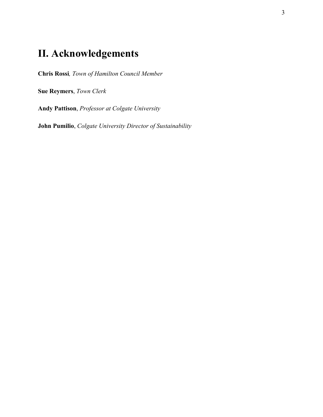# **II. Acknowledgements**

**Chris Rossi***, Town of Hamilton Council Member*

**Sue Reymers**, *Town Clerk*

**Andy Pattison**, *Professor at Colgate University*

**John Pumilio**, *Colgate University Director of Sustainability*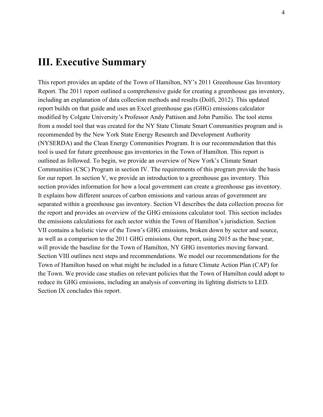# **III. Executive Summary**

This report provides an update of the Town of Hamilton, NY's 2011 Greenhouse Gas Inventory Report. The 2011 report outlined a comprehensive guide for creating a greenhouse gas inventory, including an explanation of data collection methods and results (Dolfi, 2012). This updated report builds on that guide and uses an Excel greenhouse gas (GHG) emissions calculator modified by Colgate University's Professor Andy Pattison and John Pumilio. The tool stems from a model tool that was created for the NY State Climate Smart Communities program and is recommended by the New York State Energy Research and Development Authority (NYSERDA) and the Clean Energy Communities Program. It is our recommendation that this tool is used for future greenhouse gas inventories in the Town of Hamilton. This report is outlined as followed. To begin, we provide an overview of New York's Climate Smart Communities (CSC) Program in section IV. The requirements of this program provide the basis for our report. In section V, we provide an introduction to a greenhouse gas inventory. This section provides information for how a local government can create a greenhouse gas inventory. It explains how different sources of carbon emissions and various areas of government are separated within a greenhouse gas inventory. Section VI describes the data collection process for the report and provides an overview of the GHG emissions calculator tool. This section includes the emissions calculations for each sector within the Town of Hamilton's jurisdiction. Section VII contains a holistic view of the Town's GHG emissions, broken down by sector and source, as well as a comparison to the 2011 GHG emissions. Our report, using 2015 as the base year, will provide the baseline for the Town of Hamilton, NY GHG inventories moving forward. Section VIII outlines next steps and recommendations. We model our recommendations for the Town of Hamilton based on what might be included in a future Climate Action Plan (CAP) for the Town. We provide case studies on relevant policies that the Town of Hamilton could adopt to reduce its GHG emissions, including an analysis of converting its lighting districts to LED. Section IX concludes this report.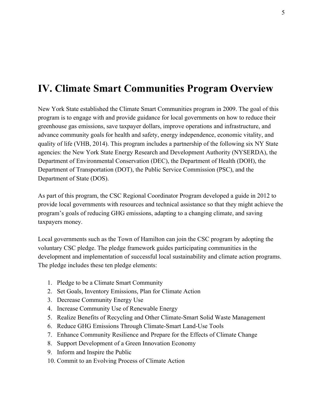# **IV. Climate Smart Communities Program Overview**

New York State established the Climate Smart Communities program in 2009. The goal of this program is to engage with and provide guidance for local governments on how to reduce their greenhouse gas emissions, save taxpayer dollars, improve operations and infrastructure, and advance community goals for health and safety, energy independence, economic vitality, and quality of life (VHB, 2014). This program includes a partnership of the following six NY State agencies: the New York State Energy Research and Development Authority (NYSERDA), the Department of Environmental Conservation (DEC), the Department of Health (DOH), the Department of Transportation (DOT), the Public Service Commission (PSC), and the Department of State (DOS).

As part of this program, the CSC Regional Coordinator Program developed a guide in 2012 to provide local governments with resources and technical assistance so that they might achieve the program's goals of reducing GHG emissions, adapting to a changing climate, and saving taxpayers money.

Local governments such as the Town of Hamilton can join the CSC program by adopting the voluntary CSC pledge. The pledge framework guides participating communities in the development and implementation of successful local sustainability and climate action programs. The pledge includes these ten pledge elements:

- 1. Pledge to be a Climate Smart Community
- 2. Set Goals, Inventory Emissions, Plan for Climate Action
- 3. Decrease Community Energy Use
- 4. Increase Community Use of Renewable Energy
- 5. Realize Benefits of Recycling and Other Climate-Smart Solid Waste Management
- 6. Reduce GHG Emissions Through Climate-Smart Land-Use Tools
- 7. Enhance Community Resilience and Prepare for the Effects of Climate Change
- 8. Support Development of a Green Innovation Economy
- 9. Inform and Inspire the Public
- 10. Commit to an Evolving Process of Climate Action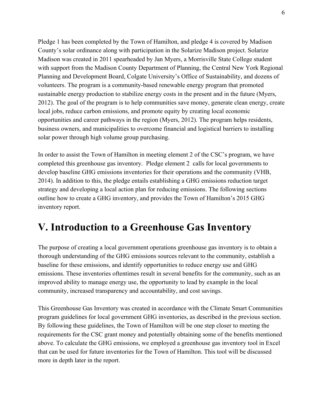Pledge 1 has been completed by the Town of Hamilton, and pledge 4 is covered by Madison County's solar ordinance along with participation in the Solarize Madison project. Solarize Madison was created in 2011 spearheaded by Jan Myers, a Morrisville State College student with support from the Madison County Department of Planning, the Central New York Regional Planning and Development Board, Colgate University's Office of Sustainability, and dozens of volunteers. The program is a community-based renewable energy program that promoted sustainable energy production to stabilize energy costs in the present and in the future (Myers, 2012). The goal of the program is to help communities save money, generate clean energy, create local jobs, reduce carbon emissions, and promote equity by creating local economic opportunities and career pathways in the region (Myers, 2012). The program helps residents, business owners, and municipalities to overcome financial and logistical barriers to installing solar power through high volume group purchasing.

In order to assist the Town of Hamilton in meeting element 2 of the CSC's program, we have completed this greenhouse gas inventory. Pledge element 2 calls for local governments to develop baseline GHG emissions inventories for their operations and the community (VHB, 2014). In addition to this, the pledge entails establishing a GHG emissions reduction target strategy and developing a local action plan for reducing emissions. The following sections outline how to create a GHG inventory, and provides the Town of Hamilton's 2015 GHG inventory report.

# **V. Introduction to a Greenhouse Gas Inventory**

The purpose of creating a local government operations greenhouse gas inventory is to obtain a thorough understanding of the GHG emissions sources relevant to the community, establish a baseline for these emissions, and identify opportunities to reduce energy use and GHG emissions. These inventories oftentimes result in several benefits for the community, such as an improved ability to manage energy use, the opportunity to lead by example in the local community, increased transparency and accountability, and cost savings.

This Greenhouse Gas Inventory was created in accordance with the Climate Smart Communities program guidelines for local government GHG inventories, as described in the previous section. By following these guidelines, the Town of Hamilton will be one step closer to meeting the requirements for the CSC grant money and potentially obtaining some of the benefits mentioned above. To calculate the GHG emissions, we employed a greenhouse gas inventory tool in Excel that can be used for future inventories for the Town of Hamilton. This tool will be discussed more in depth later in the report.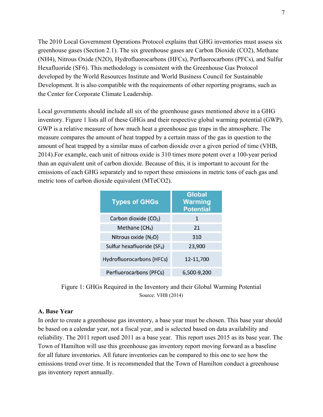The 2010 Local Government Operations Protocol explains that GHG inventories must assess six greenhouse gases (Section 2.1). The six greenhouse gases are Carbon Dioxide (CO2), Methane (NH4), Nitrous Oxide (N2O), Hydrofluorocarbons (HFCs), Perfluorocarbons (PFCs), and Sulfur Hexafluoride (SF6). This methodology is consistent with the Greenhouse Gas Protocol developed by the World Resources Institute and World Business Council for Sustainable Development. It is also compatible with the requirements of other reporting programs, such as the Center for Corporate Climate Leadership.

Local governments should include all six of the greenhouse gases mentioned above in a GHG inventory. Figure 1 lists all of these GHGs and their respective global warming potential (GWP). GWP is a relative measure of how much heat a greenhouse gas traps in the atmosphere. The measure compares the amount of heat trapped by a certain mass of the gas in question to the amount of heat trapped by a similar mass of carbon dioxide over a given period of time (VHB, 2014).For example, each unit of nitrous oxide is 310 times more potent over a 100-year period than an equivalent unit of carbon dioxide. Because of this, it is important to account for the emissions of each GHG separately and to report these emissions in metric tons of each gas and metric tons of carbon dioxide equivalent (MTeCO2).

| <b>Types of GHGs</b>              | <b>Global</b><br><b>Warming</b><br><b>Potential</b> |
|-----------------------------------|-----------------------------------------------------|
| Carbon dioxide (CO <sub>2</sub> ) | 1                                                   |
| Methane $(CH_4)$                  | 21                                                  |
| Nitrous oxide (N <sub>2</sub> O)  | 310                                                 |
| Sulfur hexafluoride ( $SF_6$ )    | 23,900                                              |
| Hydrofluorocarbons (HFCs)         | 12-11,700                                           |
| Perfluorocarbons (PFCs)           | 6.500-9.200                                         |

Figure 1: GHGs Required in the Inventory and their Global Warming Potential Source: VHB (2014)

#### **A. Base Year**

In order to create a greenhouse gas inventory, a base year must be chosen. This base year should be based on a calendar year, not a fiscal year, and is selected based on data availability and reliability. The 2011 report used 2011 as a base year. This report uses 2015 as its base year. The Town of Hamilton will use this greenhouse gas inventory report moving forward as a baseline for all future inventories. All future inventories can be compared to this one to see how the emissions trend over time. It is recommended that the Town of Hamilton conduct a greenhouse gas inventory report annually.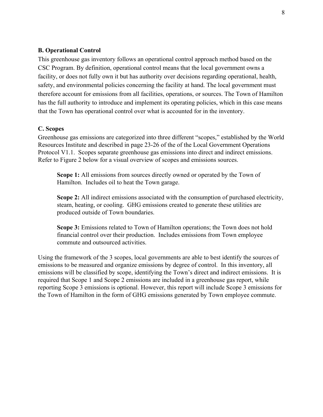#### **B. Operational Control**

This greenhouse gas inventory follows an operational control approach method based on the CSC Program. By definition, operational control means that the local government owns a facility, or does not fully own it but has authority over decisions regarding operational, health, safety, and environmental policies concerning the facility at hand. The local government must therefore account for emissions from all facilities, operations, or sources. The Town of Hamilton has the full authority to introduce and implement its operating policies, which in this case means that the Town has operational control over what is accounted for in the inventory.

#### **C. Scopes**

Greenhouse gas emissions are categorized into three different "scopes," established by the World Resources Institute and described in page 23-26 of the of the Local Government Operations Protocol V1.1. Scopes separate greenhouse gas emissions into direct and indirect emissions. Refer to Figure 2 below for a visual overview of scopes and emissions sources.

**Scope 1:** All emissions from sources directly owned or operated by the Town of Hamilton. Includes oil to heat the Town garage.

**Scope 2:** All indirect emissions associated with the consumption of purchased electricity, steam, heating, or cooling. GHG emissions created to generate these utilities are produced outside of Town boundaries.

**Scope 3:** Emissions related to Town of Hamilton operations; the Town does not hold financial control over their production. Includes emissions from Town employee commute and outsourced activities.

Using the framework of the 3 scopes, local governments are able to best identify the sources of emissions to be measured and organize emissions by degree of control. In this inventory, all emissions will be classified by scope, identifying the Town's direct and indirect emissions. It is required that Scope 1 and Scope 2 emissions are included in a greenhouse gas report, while reporting Scope 3 emissions is optional. However, this report will include Scope 3 emissions for the Town of Hamilton in the form of GHG emissions generated by Town employee commute.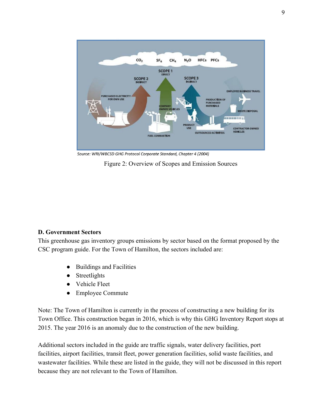

Source: WRI/WBCSD GHG Protocol Corporate Standard, Chapter 4 (2004)

Figure 2: Overview of Scopes and Emission Sources

#### **D. Government Sectors**

This greenhouse gas inventory groups emissions by sector based on the format proposed by the CSC program guide. For the Town of Hamilton, the sectors included are:

- Buildings and Facilities
- Streetlights
- Vehicle Fleet
- Employee Commute

Note: The Town of Hamilton is currently in the process of constructing a new building for its Town Office. This construction began in 2016, which is why this GHG Inventory Report stops at 2015. The year 2016 is an anomaly due to the construction of the new building.

Additional sectors included in the guide are traffic signals, water delivery facilities, port facilities, airport facilities, transit fleet, power generation facilities, solid waste facilities, and wastewater facilities. While these are listed in the guide, they will not be discussed in this report because they are not relevant to the Town of Hamilton.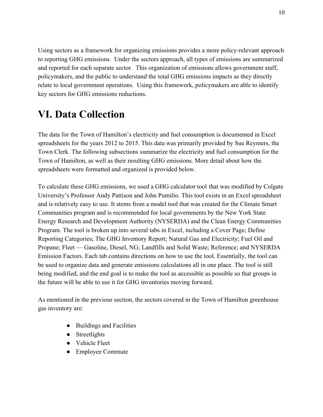Using sectors as a framework for organizing emissions provides a more policy-relevant approach to reporting GHG emissions. Under the sectors approach, all types of emissions are summarized and reported for each separate sector. This organization of emissions allows government staff, policymakers, and the public to understand the total GHG emissions impacts as they directly relate to local government operations. Using this framework, policymakers are able to identify key sectors for GHG emissions reductions.

# **VI. Data Collection**

The data for the Town of Hamilton's electricity and fuel consumption is documented in Excel spreadsheets for the years 2012 to 2015. This data was primarily provided by Sue Reymers, the Town Clerk. The following subsections summarize the electricity and fuel consumption for the Town of Hamilton, as well as their resulting GHG emissions. More detail about how the spreadsheets were formatted and organized is provided below.

To calculate these GHG emissions, we used a GHG calculator tool that was modified by Colgate University's Professor Andy Pattison and John Pumilio. This tool exists in an Excel spreadsheet and is relatively easy to use. It stems from a model tool that was created for the Climate Smart Communities program and is recommended for local governments by the New York State Energy Research and Development Authority (NYSERDA) and the Clean Energy Communities Program. The tool is broken up into several tabs in Excel, including a Cover Page; Define Reporting Categories; The GHG Inventory Report; Natural Gas and Electricity; Fuel Oil and Propane; Fleet — Gasoline, Diesel, NG; Landfills and Solid Waste; Reference; and NYSERDA Emission Factors. Each tab contains directions on how to use the tool. Essentially, the tool can be used to organize data and generate emissions calculations all in one place. The tool is still being modified, and the end goal is to make the tool as accessible as possible so that groups in the future will be able to use it for GHG inventories moving forward.

As mentioned in the previous section, the sectors covered in the Town of Hamilton greenhouse gas inventory are:

- Buildings and Facilities
- Streetlights
- Vehicle Fleet
- Employee Commute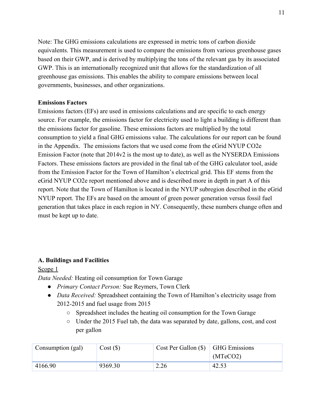Note: The GHG emissions calculations are expressed in metric tons of carbon dioxide equivalents. This measurement is used to compare the emissions from various greenhouse gases based on their GWP, and is derived by multiplying the tons of the relevant gas by its associated GWP. This is an internationally recognized unit that allows for the standardization of all greenhouse gas emissions. This enables the ability to compare emissions between local governments, businesses, and other organizations.

#### **Emissions Factors**

Emissions factors (EFs) are used in emissions calculations and are specific to each energy source. For example, the emissions factor for electricity used to light a building is different than the emissions factor for gasoline. These emissions factors are multiplied by the total consumption to yield a final GHG emissions value. The calculations for our report can be found in the Appendix. The emissions factors that we used come from the eGrid NYUP CO2e Emission Factor (note that  $2014v2$  is the most up to date), as well as the NYSERDA Emissions Factors. These emissions factors are provided in the final tab of the GHG calculator tool, aside from the Emission Factor for the Town of Hamilton's electrical grid. This EF stems from the eGrid NYUP CO2e report mentioned above and is described more in depth in part A of this report. Note that the Town of Hamilton is located in the NYUP subregion described in the eGrid NYUP report. The EFs are based on the amount of green power generation versus fossil fuel generation that takes place in each region in NY. Consequently, these numbers change often and must be kept up to date.

#### **A. Buildings and Facilities**

#### Scope 1

*Data Needed:* Heating oil consumption for Town Garage

- *Primary Contact Person:* Sue Reymers, Town Clerk
- *Data Received:* Spreadsheet containing the Town of Hamilton's electricity usage from 2012-2015 and fuel usage from 2015
	- Spreadsheet includes the heating oil consumption for the Town Garage
	- Under the 2015 Fuel tab, the data was separated by date, gallons, cost, and cost per gallon

| Consumption (gal) | Cost(S) | Cost Per Gallon $(\$)$   GHG Emissions |          |
|-------------------|---------|----------------------------------------|----------|
|                   |         |                                        | (MTeCO2) |
| 4166.90           | 9369.30 | 2.26                                   | 42.53    |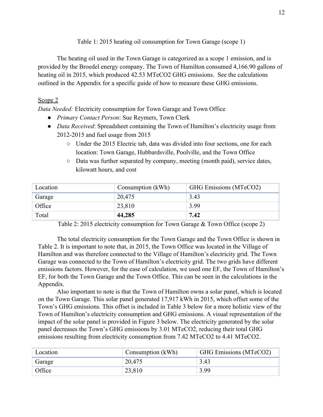Table 1: 2015 heating oil consumption for Town Garage (scope 1)

The heating oil used in the Town Garage is categorized as a scope 1 emission, and is provided by the Broedel energy company. The Town of Hamilton consumed 4,166.90 gallons of heating oil in 2015, which produced 42.53 MTeCO2 GHG emissions. See the calculations outlined in the Appendix for a specific guide of how to measure these GHG emissions.

### Scope 2

*Data Needed:* Electricity consumption for Town Garage and Town Office

- *Primary Contact Person*: Sue Reymers, Town Clerk
- *Data Received*: Spreadsheet containing the Town of Hamilton's electricity usage from 2012-2015 and fuel usage from 2015
	- Under the 2015 Electric tab, data was divided into four sections, one for each location: Town Garage, Hubbardsville, Poolville, and the Town Office
	- Data was further separated by company, meeting (month paid), service dates, kilowatt hours, and cost

| Location | Consumption (kWh) | GHG Emissions (MTeCO2) |
|----------|-------------------|------------------------|
| Garage   | 20,475            | 3.43                   |
| Office   | 23,810            | 3.99                   |
| Total    | 44,285            | 7.42                   |

Table 2: 2015 electricity consumption for Town Garage & Town Office (scope 2)

The total electricity consumption for the Town Garage and the Town Office is shown in Table 2. It is important to note that, in 2015, the Town Office was located in the Village of Hamilton and was therefore connected to the Village of Hamilton's electricity grid. The Town Garage was connected to the Town of Hamilton's electricity grid. The two grids have different emissions factors. However, for the ease of calculation, we used one EF, the Town of Hamilton's EF, for both the Town Garage and the Town Office. This can be seen in the calculations in the Appendix.

Also important to note is that the Town of Hamilton owns a solar panel, which is located on the Town Garage. This solar panel generated 17,917 kWh in 2015, which offset some of the Town's GHG emissions. This offset is included in Table 3 below for a more holistic view of the Town of Hamilton's electricity consumption and GHG emissions. A visual representation of the impact of the solar panel is provided in Figure 3 below. The electricity generated by the solar panel decreases the Town's GHG emissions by 3.01 MTeCO2, reducing their total GHG emissions resulting from electricity consumption from 7.42 MTeCO2 to 4.41 MTeCO2.

| Location | Consumption (kWh) | GHG Emissions (MTeCO2) |
|----------|-------------------|------------------------|
| Garage   | 20,475            | 3.43                   |
| Office   | 23,810            | 3.99                   |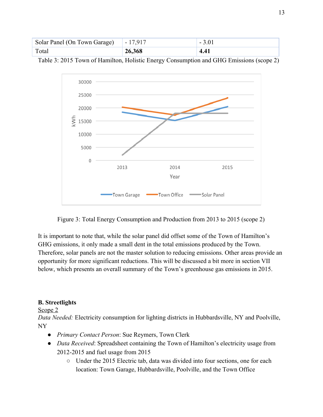| Solar Panel (On Town Garage) | $-17,917$ |      |
|------------------------------|-----------|------|
| Total                        | 26,368    | 4.41 |

Table 3: 2015 Town of Hamilton, Holistic Energy Consumption and GHG Emissions (scope 2)



Figure 3: Total Energy Consumption and Production from 2013 to 2015 (scope 2)

It is important to note that, while the solar panel did offset some of the Town of Hamilton's GHG emissions, it only made a small dent in the total emissions produced by the Town. Therefore, solar panels are not the master solution to reducing emissions. Other areas provide an opportunity for more significant reductions. This will be discussed a bit more in section VII below, which presents an overall summary of the Town's greenhouse gas emissions in 2015.

# **B. Streetlights**

#### Scope 2

*Data Needed:* Electricity consumption for lighting districts in Hubbardsville, NY and Poolville, NY

- *Primary Contact Person*: Sue Reymers, Town Clerk
- *Data Received*: Spreadsheet containing the Town of Hamilton's electricity usage from 2012-2015 and fuel usage from 2015
	- Under the 2015 Electric tab, data was divided into four sections, one for each location: Town Garage, Hubbardsville, Poolville, and the Town Office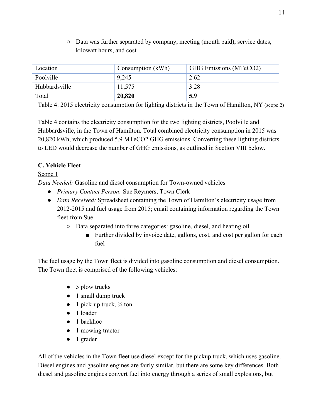○ Data was further separated by company, meeting (month paid), service dates, kilowatt hours, and cost

| Location      | Consumption (kWh) | GHG Emissions (MTeCO2) |
|---------------|-------------------|------------------------|
| Poolville     | 9,245             | 2.62                   |
| Hubbardsville | 11,575            | 3.28                   |
| Total         | 20,820            | 5.9                    |

Table 4: 2015 electricity consumption for lighting districts in the Town of Hamilton, NY (scope 2)

Table 4 contains the electricity consumption for the two lighting districts, Poolville and Hubbardsville, in the Town of Hamilton. Total combined electricity consumption in 2015 was 20,820 kWh, which produced 5.9 MTeCO2 GHG emissions. Converting these lighting districts to LED would decrease the number of GHG emissions, as outlined in Section VIII below.

# **C. Vehicle Fleet**

# Scope 1

*Data Needed:* Gasoline and diesel consumption for Town-owned vehicles

- *Primary Contact Person:* Sue Reymers, Town Clerk
- *Data Received:* Spreadsheet containing the Town of Hamilton's electricity usage from 2012-2015 and fuel usage from 2015; email containing information regarding the Town fleet from Sue
	- Data separated into three categories: gasoline, diesel, and heating oil
		- Further divided by invoice date, gallons, cost, and cost per gallon for each fuel

The fuel usage by the Town fleet is divided into gasoline consumption and diesel consumption. The Town fleet is comprised of the following vehicles:

- $\bullet$  5 plow trucks
- 1 small dump truck
- $\bullet$  1 pick-up truck,  $\frac{3}{4}$  ton
- 1 loader
- 1 backhoe
- 1 mowing tractor
- 1 grader

All of the vehicles in the Town fleet use diesel except for the pickup truck, which uses gasoline. Diesel engines and gasoline engines are fairly similar, but there are some key differences. Both diesel and gasoline engines convert fuel into energy through a series of small explosions, but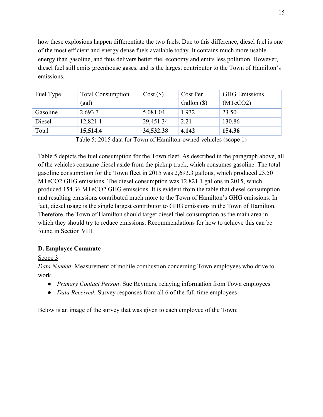how these explosions happen differentiate the two fuels. Due to this difference, diesel fuel is one of the most efficient and energy dense fuels available today. It contains much more usable energy than gasoline, and thus delivers better fuel economy and emits less pollution. However, diesel fuel still emits greenhouse gases, and is the largest contributor to the Town of Hamilton's emissions.

| Fuel Type | <b>Total Consumption</b> | Cost(S)   | Cost Per    | <b>GHG</b> Emissions |
|-----------|--------------------------|-----------|-------------|----------------------|
|           | (gal)                    |           | Gallon (\$) | (MTeCO2)             |
| Gasoline  | 2,693.3                  | 5,081.04  | 1.932       | 23.50                |
| Diesel    | 12,821.1                 | 29,451.34 | 2.21        | 130.86               |
| Total     | 15,514.4                 | 34,532.38 | 4.142       | 154.36               |

Table 5: 2015 data for Town of Hamilton-owned vehicles (scope 1)

Table 5 depicts the fuel consumption for the Town fleet. As described in the paragraph above, all of the vehicles consume diesel aside from the pickup truck, which consumes gasoline. The total gasoline consumption for the Town fleet in 2015 was 2,693.3 gallons, which produced 23.50 MTeCO2 GHG emissions. The diesel consumption was 12,821.1 gallons in 2015, which produced 154.36 MTeCO2 GHG emissions. It is evident from the table that diesel consumption and resulting emissions contributed much more to the Town of Hamilton's GHG emissions. In fact, diesel usage is the single largest contributor to GHG emissions in the Town of Hamilton. Therefore, the Town of Hamilton should target diesel fuel consumption as the main area in which they should try to reduce emissions. Recommendations for how to achieve this can be found in Section VIII.

#### **D. Employee Commute**

Scope 3

*Data Needed*: Measurement of mobile combustion concerning Town employees who drive to work

- *Primary Contact Person*: Sue Reymers, relaying information from Town employees
- *Data Received:* Survey responses from all 6 of the full-time employees

Below is an image of the survey that was given to each employee of the Town: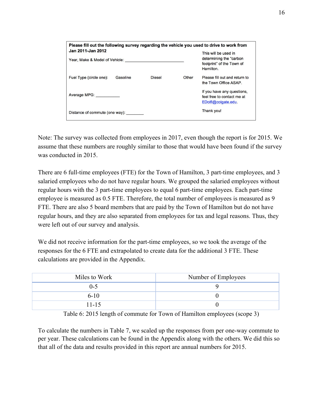| Please fill out the following survey regarding the vehicle you used to drive to work from |               |       |                                                                                            |
|-------------------------------------------------------------------------------------------|---------------|-------|--------------------------------------------------------------------------------------------|
| Jan 2011-Jan 2012<br>Year, Make & Model of Vehicle: Network and the Model of Vehicle:     |               |       | This will be used in<br>determining the "carbon"<br>footprint" of the Town of<br>Hamilton. |
| Gasoline<br>Fuel Type (circle one):                                                       | <b>Diesel</b> | Other | Please fill out and return to<br>the Town Office ASAP.                                     |
| Average MPG:                                                                              |               |       | If you have any questions,<br>feel free to contact me at<br>EDolfi@colgate.edu.            |
| Distance of commute (one way):                                                            |               |       | Thank you!                                                                                 |

Note: The survey was collected from employees in 2017, even though the report is for 2015. We assume that these numbers are roughly similar to those that would have been found if the survey was conducted in 2015.

There are 6 full-time employees (FTE) for the Town of Hamilton, 3 part-time employees, and 3 salaried employees who do not have regular hours. We grouped the salaried employees without regular hours with the 3 part-time employees to equal 6 part-time employees. Each part-time employee is measured as 0.5 FTE. Therefore, the total number of employees is measured as 9 FTE. There are also 5 board members that are paid by the Town of Hamilton but do not have regular hours, and they are also separated from employees for tax and legal reasons. Thus, they were left out of our survey and analysis.

We did not receive information for the part-time employees, so we took the average of the responses for the 6 FTE and extrapolated to create data for the additional 3 FTE. These calculations are provided in the Appendix.

| Miles to Work | Number of Employees |
|---------------|---------------------|
| $0 - 5$       |                     |
| $6 - 10$      |                     |
| $11 - 15$     |                     |

Table 6: 2015 length of commute for Town of Hamilton employees (scope 3)

To calculate the numbers in Table 7, we scaled up the responses from per one-way commute to per year. These calculations can be found in the Appendix along with the others. We did this so that all of the data and results provided in this report are annual numbers for 2015.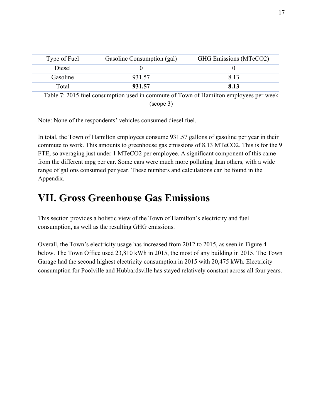| Type of Fuel | Gasoline Consumption (gal) | GHG Emissions (MTeCO2) |
|--------------|----------------------------|------------------------|
| Diesel       |                            |                        |
| Gasoline     | 931.57                     | 8.13                   |
| Total        | 931.57                     | 8.13                   |

Table 7: 2015 fuel consumption used in commute of Town of Hamilton employees per week (scope 3)

Note: None of the respondents' vehicles consumed diesel fuel.

In total, the Town of Hamilton employees consume 931.57 gallons of gasoline per year in their commute to work. This amounts to greenhouse gas emissions of 8.13 MTeCO2. This is for the 9 FTE, so averaging just under 1 MTeCO2 per employee. A significant component of this came from the different mpg per car. Some cars were much more polluting than others, with a wide range of gallons consumed per year. These numbers and calculations can be found in the Appendix.

# **VII. Gross Greenhouse Gas Emissions**

This section provides a holistic view of the Town of Hamilton's electricity and fuel consumption, as well as the resulting GHG emissions.

Overall, the Town's electricity usage has increased from 2012 to 2015, as seen in Figure 4 below. The Town Office used 23,810 kWh in 2015, the most of any building in 2015. The Town Garage had the second highest electricity consumption in 2015 with 20,475 kWh. Electricity consumption for Poolville and Hubbardsville has stayed relatively constant across all four years.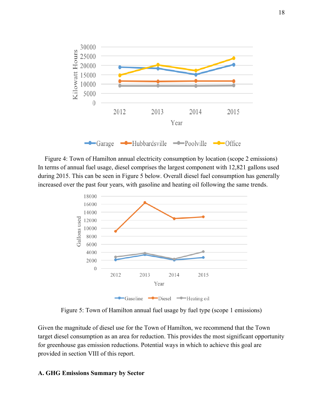

Figure 4: Town of Hamilton annual electricity consumption by location (scope 2 emissions) In terms of annual fuel usage, diesel comprises the largest component with 12,821 gallons used during 2015. This can be seen in Figure 5 below. Overall diesel fuel consumption has generally increased over the past four years, with gasoline and heating oil following the same trends.



Figure 5: Town of Hamilton annual fuel usage by fuel type (scope 1 emissions)

Given the magnitude of diesel use for the Town of Hamilton, we recommend that the Town target diesel consumption as an area for reduction. This provides the most significant opportunity for greenhouse gas emission reductions. Potential ways in which to achieve this goal are provided in section VIII of this report.

#### **A. GHG Emissions Summary by Sector**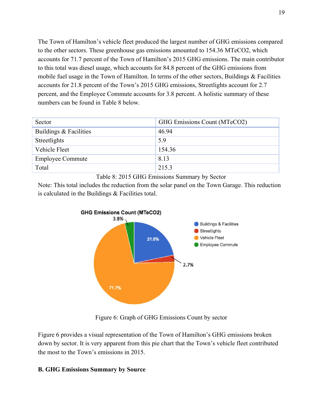The Town of Hamilton's vehicle fleet produced the largest number of GHG emissions compared to the other sectors. These greenhouse gas emissions amounted to 154.36 MTeCO2, which accounts for 71.7 percent of the Town of Hamilton's 2015 GHG emissions. The main contributor to this total was diesel usage, which accounts for 84.8 percent of the GHG emissions from mobile fuel usage in the Town of Hamilton. In terms of the other sectors, Buildings & Facilities accounts for 21.8 percent of the Town's 2015 GHG emissions, Streetlights account for 2.7 percent, and the Employee Commute accounts for 3.8 percent. A holistic summary of these numbers can be found in Table 8 below.

| Sector                  | GHG Emissions Count (MTeCO2) |
|-------------------------|------------------------------|
| Buildings & Facilities  | 46.94                        |
| Streetlights            | 5.9                          |
| Vehicle Fleet           | 154.36                       |
| <b>Employee Commute</b> | 8.13                         |
| Total                   | 215.3                        |



Note: This total includes the reduction from the solar panel on the Town Garage. This reduction is calculated in the Buildings & Facilities total.



Figure 6: Graph of GHG Emissions Count by sector

Figure 6 provides a visual representation of the Town of Hamilton's GHG emissions broken down by sector. It is very apparent from this pie chart that the Town's vehicle fleet contributed the most to the Town's emissions in 2015.

# **B. GHG Emissions Summary by Source**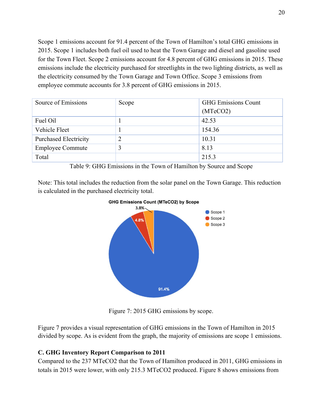Scope 1 emissions account for 91.4 percent of the Town of Hamilton's total GHG emissions in 2015. Scope 1 includes both fuel oil used to heat the Town Garage and diesel and gasoline used for the Town Fleet. Scope 2 emissions account for 4.8 percent of GHG emissions in 2015. These emissions include the electricity purchased for streetlights in the two lighting districts, as well as the electricity consumed by the Town Garage and Town Office. Scope 3 emissions from employee commute accounts for 3.8 percent of GHG emissions in 2015.

| Source of Emissions          | Scope | <b>GHG Emissions Count</b> |  |
|------------------------------|-------|----------------------------|--|
|                              |       | (MTeCO2)                   |  |
| Fuel Oil                     |       | 42.53                      |  |
| Vehicle Fleet                |       | 154.36                     |  |
| <b>Purchased Electricity</b> | 2     | 10.31                      |  |
| <b>Employee Commute</b>      |       | 8.13                       |  |
| Total                        |       | 215.3                      |  |

Table 9: GHG Emissions in the Town of Hamilton by Source and Scope

Note: This total includes the reduction from the solar panel on the Town Garage. This reduction is calculated in the purchased electricity total.





Figure 7: 2015 GHG emissions by scope.

Figure 7 provides a visual representation of GHG emissions in the Town of Hamilton in 2015 divided by scope. As is evident from the graph, the majority of emissions are scope 1 emissions.

# **C. GHG Inventory Report Comparison to 2011**

Compared to the 237 MTeCO2 that the Town of Hamilton produced in 2011, GHG emissions in totals in 2015 were lower, with only 215.3 MTeCO2 produced. Figure 8 shows emissions from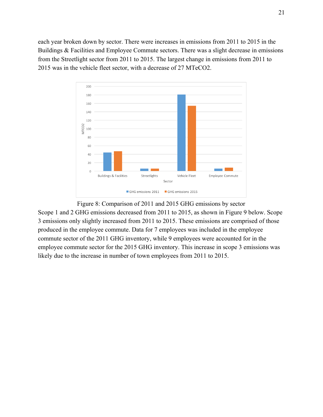each year broken down by sector. There were increases in emissions from 2011 to 2015 in the Buildings & Facilities and Employee Commute sectors. There was a slight decrease in emissions from the Streetlight sector from 2011 to 2015. The largest change in emissions from 2011 to 2015 was in the vehicle fleet sector, with a decrease of 27 MTeCO2.



Figure 8: Comparison of 2011 and 2015 GHG emissions by sector Scope 1 and 2 GHG emissions decreased from 2011 to 2015, as shown in Figure 9 below. Scope 3 emissions only slightly increased from 2011 to 2015. These emissions are comprised of those produced in the employee commute. Data for 7 employees was included in the employee commute sector of the 2011 GHG inventory, while 9 employees were accounted for in the employee commute sector for the 2015 GHG inventory. This increase in scope 3 emissions was likely due to the increase in number of town employees from 2011 to 2015.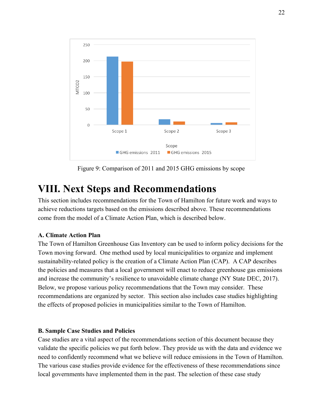

Figure 9: Comparison of 2011 and 2015 GHG emissions by scope

# **VIII. Next Steps and Recommendations**

This section includes recommendations for the Town of Hamilton for future work and ways to achieve reductions targets based on the emissions described above. These recommendations come from the model of a Climate Action Plan, which is described below.

#### **A. Climate Action Plan**

The Town of Hamilton Greenhouse Gas Inventory can be used to inform policy decisions for the Town moving forward. One method used by local municipalities to organize and implement sustainability-related policy is the creation of a Climate Action Plan (CAP). A CAP describes the policies and measures that a local government will enact to reduce greenhouse gas emissions and increase the community's resilience to unavoidable climate change (NY State DEC, 2017). Below, we propose various policy recommendations that the Town may consider. These recommendations are organized by sector. This section also includes case studies highlighting the effects of proposed policies in municipalities similar to the Town of Hamilton.

#### **B. Sample Case Studies and Policies**

Case studies are a vital aspect of the recommendations section of this document because they validate the specific policies we put forth below. They provide us with the data and evidence we need to confidently recommend what we believe will reduce emissions in the Town of Hamilton. The various case studies provide evidence for the effectiveness of these recommendations since local governments have implemented them in the past. The selection of these case study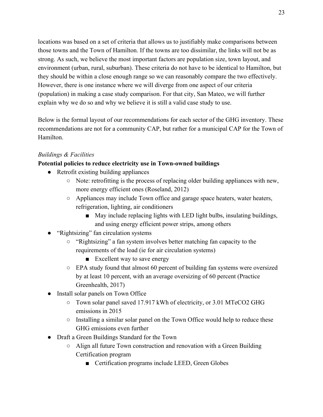locations was based on a set of criteria that allows us to justifiably make comparisons between those towns and the Town of Hamilton. If the towns are too dissimilar, the links will not be as strong. As such, we believe the most important factors are population size, town layout, and environment (urban, rural, suburban). These criteria do not have to be identical to Hamilton, but they should be within a close enough range so we can reasonably compare the two effectively. However, there is one instance where we will diverge from one aspect of our criteria (population) in making a case study comparison. For that city, San Mateo, we will further explain why we do so and why we believe it is still a valid case study to use.

Below is the formal layout of our recommendations for each sector of the GHG inventory. These recommendations are not for a community CAP, but rather for a municipal CAP for the Town of Hamilton.

### *Buildings & Facilities*

### **Potential policies to reduce electricity use in Town-owned buildings**

- Retrofit existing building appliances
	- Note: retrofitting is the process of replacing older building appliances with new, more energy efficient ones (Roseland, 2012)
	- Appliances may include Town office and garage space heaters, water heaters, refrigeration, lighting, air conditioners
		- May include replacing lights with LED light bulbs, insulating buildings, and using energy efficient power strips, among others
- "Rightsizing" fan circulation systems
	- "Rightsizing" a fan system involves better matching fan capacity to the requirements of the load (ie for air circulation systems)
		- Excellent way to save energy
	- $\circ$  EPA study found that almost 60 percent of building fan systems were oversized by at least 10 percent, with an average oversizing of 60 percent (Practice Greenhealth, 2017)
- Install solar panels on Town Office
	- Town solar panel saved 17.917 kWh of electricity, or 3.01 MTeCO2 GHG emissions in 2015
	- Installing a similar solar panel on the Town Office would help to reduce these GHG emissions even further
- Draft a Green Buildings Standard for the Town
	- Align all future Town construction and renovation with a Green Building Certification program
		- Certification programs include LEED, Green Globes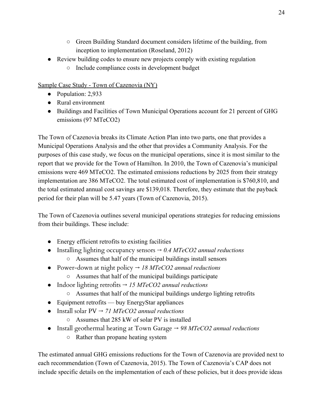- Green Building Standard document considers lifetime of the building, from inception to implementation (Roseland, 2012)
- Review building codes to ensure new projects comply with existing regulation
	- Include compliance costs in development budget

Sample Case Study - Town of Cazenovia (NY)

- Population: 2,933
- Rural environment
- Buildings and Facilities of Town Municipal Operations account for 21 percent of GHG emissions (97 MTeCO2)

The Town of Cazenovia breaks its Climate Action Plan into two parts, one that provides a Municipal Operations Analysis and the other that provides a Community Analysis. For the purposes of this case study, we focus on the municipal operations, since it is most similar to the report that we provide for the Town of Hamilton. In 2010, the Town of Cazenovia's municipal emissions were 469 MTeCO2. The estimated emissions reductions by 2025 from their strategy implementation are 386 MTeCO2. The total estimated cost of implementation is \$760,810, and the total estimated annual cost savings are \$139,018. Therefore, they estimate that the payback period for their plan will be 5.47 years (Town of Cazenovia, 2015).

The Town of Cazenovia outlines several municipal operations strategies for reducing emissions from their buildings. These include:

- Energy efficient retrofits to existing facilities
- Installing lighting occupancy sensors  $\rightarrow 0.4$  *MTeCO2 annual reductions* ○ Assumes that half of the municipal buildings install sensors
- Power-down at night policy → *18 MTeCO2 annual reductions*
	- Assumes that half of the municipal buildings participate
- Indoor lighting retrofits → *15 MTeCO2 annual reductions*
	- Assumes that half of the municipal buildings undergo lighting retrofits
- Equipment retrofits buy EnergyStar appliances
- Install solar PV → *71 MTeCO2 annual reductions*
	- Assumes that 285 kW of solar PV is installed
- Install geothermal heating at Town Garage → *98 MTeCO2 annual reductions*
	- Rather than propane heating system

The estimated annual GHG emissions reductions for the Town of Cazenovia are provided next to each recommendation (Town of Cazenovia, 2015). The Town of Cazenovia's CAP does not include specific details on the implementation of each of these policies, but it does provide ideas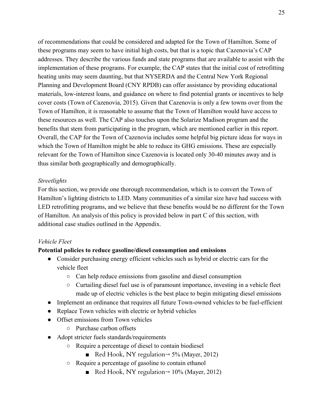of recommendations that could be considered and adapted for the Town of Hamilton. Some of these programs may seem to have initial high costs, but that is a topic that Cazenovia's CAP addresses. They describe the various funds and state programs that are available to assist with the implementation of these programs. For example, the CAP states that the initial cost of retrofitting heating units may seem daunting, but that NYSERDA and the Central New York Regional Planning and Development Board (CNY RPDB) can offer assistance by providing educational materials, low-interest loans, and guidance on where to find potential grants or incentives to help cover costs (Town of Cazenovia, 2015). Given that Cazenovia is only a few towns over from the Town of Hamilton, it is reasonable to assume that the Town of Hamilton would have access to these resources as well. The CAP also touches upon the Solarize Madison program and the benefits that stem from participating in the program, which are mentioned earlier in this report. Overall, the CAP for the Town of Cazenovia includes some helpful big picture ideas for ways in which the Town of Hamilton might be able to reduce its GHG emissions. These are especially relevant for the Town of Hamilton since Cazenovia is located only 30-40 minutes away and is thus similar both geographically and demographically.

#### *Streetlights*

For this section, we provide one thorough recommendation, which is to convert the Town of Hamilton's lighting districts to LED. Many communities of a similar size have had success with LED retrofitting programs, and we believe that these benefits would be no different for the Town of Hamilton. An analysis of this policy is provided below in part C of this section, with additional case studies outlined in the Appendix.

#### *Vehicle Fleet*

#### **Potential policies to reduce gasoline/diesel consumption and emissions**

- Consider purchasing energy efficient vehicles such as hybrid or electric cars for the vehicle fleet
	- Can help reduce emissions from gasoline and diesel consumption
	- $\circ$  Curtailing diesel fuel use is of paramount importance, investing in a vehicle fleet made up of electric vehicles is the best place to begin mitigating diesel emissions
- Implement an ordinance that requires all future Town-owned vehicles to be fuel-efficient
- Replace Town vehicles with electric or hybrid vehicles
- Offset emissions from Town vehicles
	- Purchase carbon offsets
- Adopt stricter fuels standards/requirements
	- Require a percentage of diesel to contain biodiesel
		- Red Hook, NY regulation $\rightarrow$  5% (Mayer, 2012)
	- Require a percentage of gasoline to contain ethanol
		- Red Hook, NY regulation $\rightarrow$  10% (Mayer, 2012)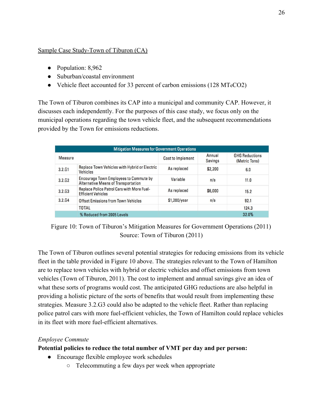### Sample Case Study-Town of Tiburon (CA)

- Population: 8,962
- Suburban/coastal environment
- Vehicle fleet accounted for 33 percent of carbon emissions (128 MTeCO2)

The Town of Tiburon combines its CAP into a municipal and community CAP. However, it discusses each independently. For the purposes of this case study, we focus only on the municipal operations regarding the town vehicle fleet, and the subsequent recommendations provided by the Town for emissions reductions.

| <b>Mitigation Measures for Government Operations</b> |                                                                                             |                          |                          |                                        |
|------------------------------------------------------|---------------------------------------------------------------------------------------------|--------------------------|--------------------------|----------------------------------------|
| Measure                                              |                                                                                             | <b>Cost to Implement</b> | Annual<br><b>Savings</b> | <b>GHG Reductions</b><br>(Metric Tons) |
| 3.2.61                                               | Replace Town Vehicles with Hybrid or Electric<br><b>Vehicles</b>                            | As replaced              | \$2,200                  | 6.0                                    |
| 3.2.62                                               | <b>Encourage Town Employees to Commute by</b><br><b>Alternative Means of Transportation</b> | Variable                 | n/a                      | 11.0                                   |
| 3.2.63                                               | <b>Replace Police Patrol Cars with More Fuel-</b><br><b>Efficient Vehicles</b>              | As replaced              | \$6,000                  | 15.2                                   |
| 3.2 <sub>64</sub>                                    | Offset Emissions from Town Vehicles                                                         | \$1,200/year             | n/a                      | 92.1                                   |
|                                                      | <b>TOTAL</b>                                                                                |                          |                          | 124.3                                  |
|                                                      | % Reduced from 2005 Levels                                                                  |                          |                          | 32.0%                                  |

Figure 10: Town of Tiburon's Mitigation Measures for Government Operations (2011) Source: Town of Tiburon (2011)

The Town of Tiburon outlines several potential strategies for reducing emissions from its vehicle fleet in the table provided in Figure 10 above. The strategies relevant to the Town of Hamilton are to replace town vehicles with hybrid or electric vehicles and offset emissions from town vehicles (Town of Tiburon, 2011). The cost to implement and annual savings give an idea of what these sorts of programs would cost. The anticipated GHG reductions are also helpful in providing a holistic picture of the sorts of benefits that would result from implementing these strategies. Measure 3.2.G3 could also be adapted to the vehicle fleet. Rather than replacing police patrol cars with more fuel-efficient vehicles, the Town of Hamilton could replace vehicles in its fleet with more fuel-efficient alternatives.

# *Employee Commute*

**Potential policies to reduce the total number of VMT per day and per person:**

- Encourage flexible employee work schedules
	- Telecommuting a few days per week when appropriate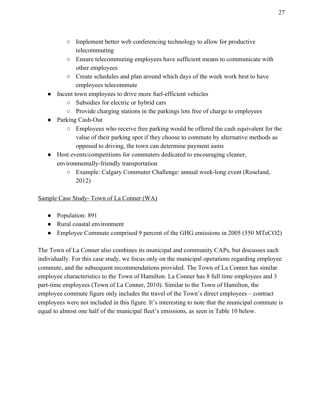- Implement better web conferencing technology to allow for productive telecommuting
- Ensure telecommuting employees have sufficient means to communicate with other employees
- Create schedules and plan around which days of the week work best to have employees telecommute
- Incent town employees to drive more fuel-efficient vehicles
	- Subsidies for electric or hybrid cars
	- Provide charging stations in the parkings lots free of charge to employees
- Parking Cash-Out
	- Employees who receive free parking would be offered the cash equivalent for the value of their parking spot if they choose to commute by alternative methods as opposed to driving, the town can determine payment sums
- Host events/competitions for commuters dedicated to encouraging cleaner, environmentally-friendly transportation
	- Example: Calgary Commuter Challenge: annual week-long event (Roseland, 2012)

Sample Case Study- Town of La Conner (WA)

- Population: 891
- Rural coastal environment
- Employee Commute comprised 9 percent of the GHG emissions in 2005 (550 MTeCO2)

The Town of La Conner also combines its municipal and community CAPs, but discusses each individually. For this case study, we focus only on the municipal operations regarding employee commute, and the subsequent recommendations provided. The Town of La Conner has similar employee characteristics to the Town of Hamilton. La Conner has 8 full time employees and 3 part-time employees (Town of La Conner, 2010). Similar to the Town of Hamilton, the employee commute figure only includes the travel of the Town's direct employees – contract employees were not included in this figure. It's interesting to note that the municipal commute is equal to almost one half of the municipal fleet's emissions, as seen in Table 10 below.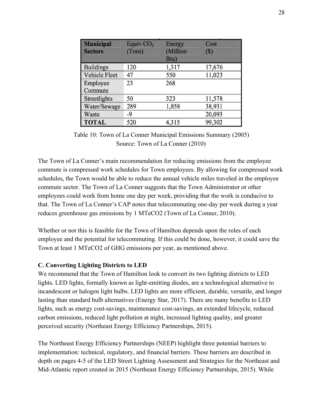| <b>Municipal</b><br><b>Sectors</b> | Equiv $CO2$<br>(Tons) | Energy<br>(Million<br>Btu) | Cost<br>$(s)$ |
|------------------------------------|-----------------------|----------------------------|---------------|
| <b>Buildings</b>                   | 120                   | 1,317                      | 17,676        |
| <b>Vehicle Fleet</b>               | 47                    | 550                        | 11,023        |
| Employee                           | 23                    | 268                        |               |
| Commute                            |                       |                            |               |
| Streetlights                       | 50                    | 323                        | 11,578        |
| Water/Sewage                       | 289                   | 1,858                      | 38,931        |
| Waste                              | $-9$                  |                            | 20,093        |
| <b>TOTAL</b>                       | 520                   | 4,315                      | 99,302        |

Table 10: Town of La Conner Municipal Emissions Summary (2005) Source: Town of La Conner (2010)

The Town of La Conner's main recommendation for reducing emissions from the employee commute is compressed work schedules for Town employees. By allowing for compressed work schedules, the Town would be able to reduce the annual vehicle miles traveled in the employee commute sector. The Town of La Conner suggests that the Town Administrator or other employees could work from home one day per week, providing that the work is conducive to that. The Town of La Conner's CAP notes that telecommuting one-day per week during a year reduces greenhouse gas emissions by 1 MTeCO2 (Town of La Conner, 2010).

Whether or not this is feasible for the Town of Hamilton depends upon the roles of each employee and the potential for telecommuting. If this could be done, however, it could save the Town at least 1 MTeCO2 of GHG emissions per year, as mentioned above.

#### **C. Converting Lighting Districts to LED**

We recommend that the Town of Hamilton look to convert its two lighting districts to LED lights. LED lights, formally known as light-emitting diodes, are a technological alternative to incandescent or halogen light bulbs. LED lights are more efficient, durable, versatile, and longer lasting than standard bulb alternatives (Energy Star, 2017). There are many benefits to LED lights, such as energy cost-savings, maintenance cost-savings, an extended lifecycle, reduced carbon emissions, reduced light pollution at night, increased lighting quality, and greater perceived security (Northeast Energy Efficiency Partnerships, 2015).

The Northeast Energy Efficiency Partnerships (NEEP) highlight three potential barriers to implementation: technical, regulatory, and financial barriers. These barriers are described in depth on pages 4-5 of the LED Street Lighting Assessment and Strategies for the Northeast and Mid-Atlantic report created in 2015 (Northeast Energy Efficiency Partnerships, 2015). While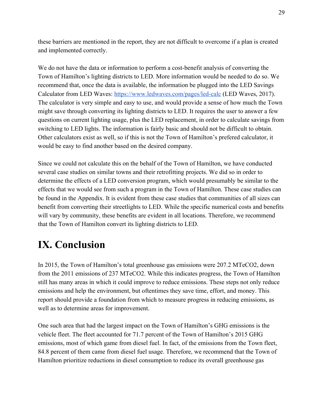these barriers are mentioned in the report, they are not difficult to overcome if a plan is created and implemented correctly.

We do not have the data or information to perform a cost-benefit analysis of converting the Town of Hamilton's lighting districts to LED. More information would be needed to do so. We recommend that, once the data is available, the information be plugged into the LED Savings Calculator from LED Waves: <https://www.ledwaves.com/pages/led-calc> (LED Waves, 2017). The calculator is very simple and easy to use, and would provide a sense of how much the Town might save through converting its lighting districts to LED. It requires the user to answer a few questions on current lighting usage, plus the LED replacement, in order to calculate savings from switching to LED lights. The information is fairly basic and should not be difficult to obtain. Other calculators exist as well, so if this is not the Town of Hamilton's prefered calculator, it would be easy to find another based on the desired company.

Since we could not calculate this on the behalf of the Town of Hamilton, we have conducted several case studies on similar towns and their retrofitting projects. We did so in order to determine the effects of a LED conversion program, which would presumably be similar to the effects that we would see from such a program in the Town of Hamilton. These case studies can be found in the Appendix. It is evident from these case studies that communities of all sizes can benefit from converting their streetlights to LED. While the specific numerical costs and benefits will vary by community, these benefits are evident in all locations. Therefore, we recommend that the Town of Hamilton convert its lighting districts to LED.

# **IX. Conclusion**

In 2015, the Town of Hamilton's total greenhouse gas emissions were 207.2 MTeCO2, down from the 2011 emissions of 237 MTeCO2. While this indicates progress, the Town of Hamilton still has many areas in which it could improve to reduce emissions. These steps not only reduce emissions and help the environment, but oftentimes they save time, effort, and money. This report should provide a foundation from which to measure progress in reducing emissions, as well as to determine areas for improvement.

One such area that had the largest impact on the Town of Hamilton's GHG emissions is the vehicle fleet. The fleet accounted for 71.7 percent of the Town of Hamilton's 2015 GHG emissions, most of which game from diesel fuel. In fact, of the emissions from the Town fleet, 84.8 percent of them came from diesel fuel usage. Therefore, we recommend that the Town of Hamilton prioritize reductions in diesel consumption to reduce its overall greenhouse gas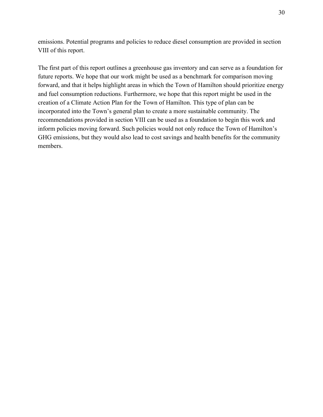emissions. Potential programs and policies to reduce diesel consumption are provided in section VIII of this report.

The first part of this report outlines a greenhouse gas inventory and can serve as a foundation for future reports. We hope that our work might be used as a benchmark for comparison moving forward, and that it helps highlight areas in which the Town of Hamilton should prioritize energy and fuel consumption reductions. Furthermore, we hope that this report might be used in the creation of a Climate Action Plan for the Town of Hamilton. This type of plan can be incorporated into the Town's general plan to create a more sustainable community. The recommendations provided in section VIII can be used as a foundation to begin this work and inform policies moving forward. Such policies would not only reduce the Town of Hamilton's GHG emissions, but they would also lead to cost savings and health benefits for the community members.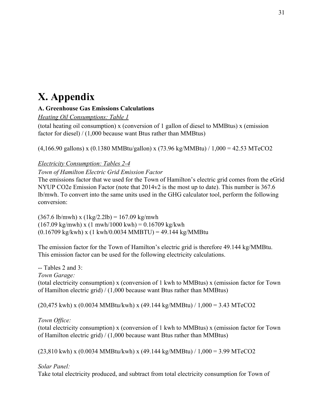# **X. Appendix**

# **A. Greenhouse Gas Emissions Calculations**

*Heating Oil Consumptions: Table 1*

(total heating oil consumption) x (conversion of 1 gallon of diesel to MMBtus) x (emission factor for diesel) / (1,000 because want Btus rather than MMBtus)

(4,166.90 gallons) x (0.1380 MMBtu/gallon) x (73.96 kg/MMBtu) / 1,000 = 42.53 MTeCO2

# *Electricity Consumption: Tables 2-4*

# *Town of Hamilton Electric Grid Emission Factor*

The emissions factor that we used for the Town of Hamilton's electric grid comes from the eGrid NYUP CO2e Emission Factor (note that 2014v2 is the most up to date). This number is 367.6 lb/mwh. To convert into the same units used in the GHG calculator tool, perform the following conversion:

 $(367.6 \text{ lb/mm}) \times (1 \text{ kg}/2.2 \text{ lb}) = 167.09 \text{ kg/mm}$  $(167.09 \text{ kg/mm}) \times (1 \text{ mwh}/1000 \text{ kWh}) = 0.16709 \text{ kg/kwh}$  $(0.16709 \text{ kg/kwh}) \times (1 \text{ kWh}/0.0034 \text{ MMBTU}) = 49.144 \text{ kg/MMHtu}$ 

The emission factor for the Town of Hamilton's electric grid is therefore 49.144 kg/MMBtu. This emission factor can be used for the following electricity calculations.

-- Tables 2 and 3: *Town Garage:* (total electricity consumption) x (conversion of 1 kwh to MMBtus) x (emission factor for Town of Hamilton electric grid) / (1,000 because want Btus rather than MMBtus)

(20,475 kwh) x (0.0034 MMBtu/kwh) x (49.144 kg/MMBtu) / 1,000 = 3.43 MTeCO2

*Town Office:*

(total electricity consumption) x (conversion of 1 kwh to MMBtus) x (emission factor for Town of Hamilton electric grid) / (1,000 because want Btus rather than MMBtus)

(23,810 kwh) x (0.0034 MMBtu/kwh) x (49.144 kg/MMBtu) / 1,000 = 3.99 MTeCO2

*Solar Panel:*

Take total electricity produced, and subtract from total electricity consumption for Town of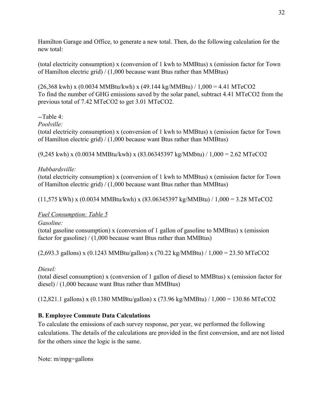Hamilton Garage and Office, to generate a new total. Then, do the following calculation for the new total:

(total electricity consumption) x (conversion of 1 kwh to MMBtus) x (emission factor for Town of Hamilton electric grid) / (1,000 because want Btus rather than MMBtus)

(26,368 kwh) x (0.0034 MMBtu/kwh) x (49.144 kg/MMBtu) / 1,000 = 4.41 MTeCO2 To find the number of GHG emissions saved by the solar panel, subtract 4.41 MTeCO2 from the previous total of 7.42 MTeCO2 to get 3.01 MTeCO2.

# --Table 4:

*Poolville:*

(total electricity consumption) x (conversion of 1 kwh to MMBtus) x (emission factor for Town of Hamilton electric grid) / (1,000 because want Btus rather than MMBtus)

(9,245 kwh) x (0.0034 MMBtu/kwh) x (83.06345397 kg/MMbtu) / 1,000 = 2.62 MTeCO2

# *Hubbardsville:*

(total electricity consumption) x (conversion of 1 kwh to MMBtus) x (emission factor for Town of Hamilton electric grid) / (1,000 because want Btus rather than MMBtus)

(11,575 kWh) x (0.0034 MMBtu/kwh) x (83.06345397 kg/MMBtu) / 1,000 = 3.28 MTeCO2

# *Fuel Consumption: Table 5*

*Gasoline:*

(total gasoline consumption) x (conversion of 1 gallon of gasoline to MMBtus) x (emission factor for gasoline) / (1,000 because want Btus rather than MMBtus)

(2,693.3 gallons) x (0.1243 MMBtu/gallon) x (70.22 kg/MMBtu) / 1,000 = 23.50 MTeCO2

# *Diesel:*

(total diesel consumption) x (conversion of 1 gallon of diesel to MMBtus) x (emission factor for diesel) / (1,000 because want Btus rather than MMBtus)

(12,821.1 gallons) x (0.1380 MMBtu/gallon) x (73.96 kg/MMBtu) / 1,000 = 130.86 MTeCO2

# **B. Employee Commute Data Calculations**

To calculate the emissions of each survey response, per year, we performed the following calculations. The details of the calculations are provided in the first conversion, and are not listed for the others since the logic is the same.

Note: m/mpg=gallons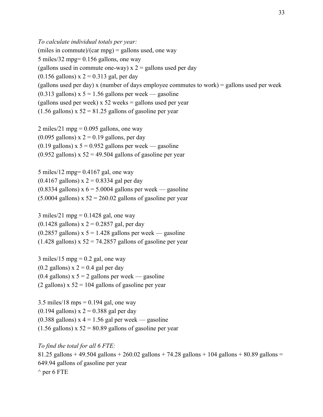*To calculate individual totals per year:* (miles in commute)/(car mpg) = gallons used, one way 5 miles/32 mpg= 0.156 gallons, one way (gallons used in commute one-way)  $x = 2$  gallons used per day  $(0.156$  gallons) x  $2 = 0.313$  gal, per day (gallons used per day) x (number of days employee commutes to work) = gallons used per week  $(0.313 \text{ gallons})$  x 5 = 1.56 gallons per week — gasoline (gallons used per week)  $x 52$  weeks = gallons used per year  $(1.56$  gallons) x  $52 = 81.25$  gallons of gasoline per year

2 miles/21 mpg =  $0.095$  gallons, one way (0.095 gallons)  $x = 0.19$  gallons, per day  $(0.19 \text{ gallons})$  x 5 = 0.952 gallons per week — gasoline  $(0.952 \text{ gallons}) \times 52 = 49.504 \text{ gallons of gasoline per year}$ 

5 miles/12 mpg= 0.4167 gal, one way  $(0.4167 \text{ gallons}) \times 2 = 0.8334 \text{ gal per day}$  $(0.8334$  gallons) x  $6 = 5.0004$  gallons per week — gasoline  $(5.0004 \text{ gallons})$  x  $52 = 260.02 \text{ gallons of gasoline per year}$ 

3 miles/21 mpg =  $0.1428$  gal, one way  $(0.1428 \text{ gallons}) \times 2 = 0.2857 \text{ gal}, \text{per day}$  $(0.2857 \text{ gallons})$  x  $5 = 1.428 \text{ gallons per week}$  - gasoline  $(1.428 \text{ gallons}) \times 52 = 74.2857 \text{ gallons of gasoline per year}$ 

3 miles/15 mpg =  $0.2$  gal, one way  $(0.2 \text{ gallons}) \times 2 = 0.4 \text{ gal}$  per day  $(0.4 \text{ gallons})$  x 5 = 2 gallons per week — gasoline (2 gallons)  $x 52 = 104$  gallons of gasoline per year

 $3.5$  miles/18 mps = 0.194 gal, one way  $(0.194$  gallons) x  $2 = 0.388$  gal per day  $(0.388 \text{ gallons})$  x 4 = 1.56 gal per week — gasoline  $(1.56$  gallons) x  $52 = 80.89$  gallons of gasoline per year

*To find the total for all 6 FTE:* 81.25 gallons + 49.504 gallons + 260.02 gallons + 74.28 gallons + 104 gallons + 80.89 gallons = 649.94 gallons of gasoline per year  $\wedge$  per 6 FTE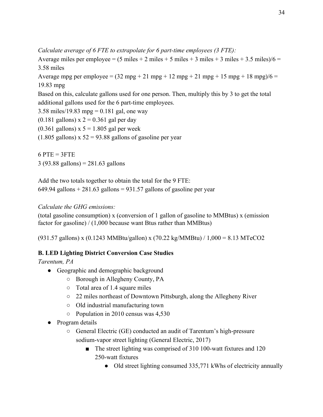*Calculate average of 6 FTE to extrapolate for 6 part-time employees (3 FTE):*

Average miles per employee =  $(5 \text{ miles} + 2 \text{ miles} + 5 \text{ miles} + 3 \text{ miles} + 3 \text{ miles} + 3 \text{ miles})/6 =$ 3.58 miles

Average mpg per employee =  $(32 \text{ mpg} + 21 \text{ mpg} + 12 \text{ mpg} + 21 \text{ mpg} + 15 \text{ mpg} + 18 \text{ mpg})/6$  = 19.83 mpg

Based on this, calculate gallons used for one person. Then, multiply this by 3 to get the total additional gallons used for the 6 part-time employees.

3.58 miles/19.83 mpg =  $0.181$  gal, one way

 $(0.181$  gallons) x  $2 = 0.361$  gal per day

 $(0.361$  gallons) x  $5 = 1.805$  gal per week

 $(1.805 \text{ gallons}) \times 52 = 93.88 \text{ gallons of gasoline per year}$ 

 $6$  PTE = 3FTE 3 (93.88 gallons) = 281.63 gallons

Add the two totals together to obtain the total for the 9 FTE:  $649.94$  gallons + 281.63 gallons = 931.57 gallons of gasoline per year

# *Calculate the GHG emissions:*

(total gasoline consumption) x (conversion of 1 gallon of gasoline to MMBtus) x (emission factor for gasoline) / (1,000 because want Btus rather than MMBtus)

(931.57 gallons) x (0.1243 MMBtu/gallon) x (70.22 kg/MMBtu) / 1,000 = 8.13 MTeCO2

# **B. LED Lighting District Conversion Case Studies**

*Tarentum, PA*

- Geographic and demographic background
	- Borough in Allegheny County, PA
	- Total area of 1.4 square miles
	- 22 miles northeast of Downtown Pittsburgh, along the Allegheny River
	- Old industrial manufacturing town
	- Population in 2010 census was 4,530
- Program details
	- General Electric (GE) conducted an audit of Tarentum's high-pressure sodium-vapor street lighting (General Electric, 2017)
		- The street lighting was comprised of 310 100-watt fixtures and 120 250-watt fixtures
			- Old street lighting consumed 335,771 kWhs of electricity annually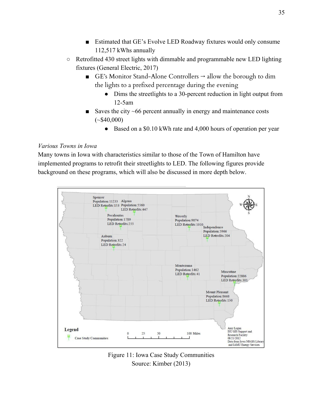- Estimated that GE's Evolve LED Roadway fixtures would only consume 112,517 kWhs annually
- Retrofitted 430 street lights with dimmable and programmable new LED lighting fixtures (General Electric, 2017)
	- GE's Monitor Stand-Alone Controllers  $\rightarrow$  allow the borough to dim the lights to a prefixed percentage during the evening
		- Dims the streetlights to a 30-percent reduction in light output from 12-5am
	- Saves the city  $~66$  percent annually in energy and maintenance costs  $(*\$40,000)$ 
		- Based on a \$0.10 kWh rate and 4,000 hours of operation per year

# *Various Towns in Iowa*

Many towns in Iowa with characteristics similar to those of the Town of Hamilton have implemented programs to retrofit their streetlights to LED. The following figures provide background on these programs, which will also be discussed in more depth below.



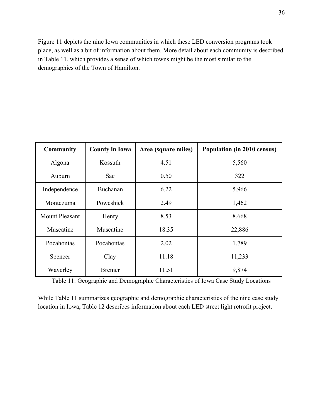Figure 11 depicts the nine Iowa communities in which these LED conversion programs took place, as well as a bit of information about them. More detail about each community is described in Table 11, which provides a sense of which towns might be the most similar to the demographics of the Town of Hamilton.

| <b>Community</b>      | <b>County in Iowa</b> | Area (square miles) | Population (in 2010 census) |
|-----------------------|-----------------------|---------------------|-----------------------------|
| Algona                | Kossuth               | 4.51                | 5,560                       |
| Auburn                | Sac                   | 0.50                | 322                         |
| Independence          | Buchanan              | 6.22                | 5,966                       |
| Montezuma             | Poweshiek             | 2.49                | 1,462                       |
| <b>Mount Pleasant</b> | Henry                 | 8.53                | 8,668                       |
| Muscatine             | Muscatine             | 18.35               | 22,886                      |
| Pocahontas            | Pocahontas            | 2.02                | 1,789                       |
| Spencer               | Clay                  | 11.18               | 11,233                      |
| Waverley              | <b>Bremer</b>         | 11.51               | 9,874                       |

Table 11: Geographic and Demographic Characteristics of Iowa Case Study Locations

While Table 11 summarizes geographic and demographic characteristics of the nine case study location in Iowa, Table 12 describes information about each LED street light retrofit project.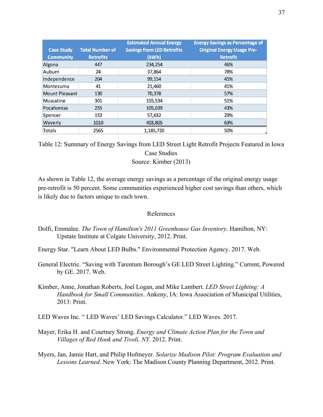|                       |                        | <b>Estimated Annual Energy</b>    | <b>Energy Savings as Percentage of</b> |
|-----------------------|------------------------|-----------------------------------|----------------------------------------|
| <b>Case Study</b>     | <b>Total Number of</b> | <b>Savings from LED Retrofits</b> | <b>Original Energy Usage Pre-</b>      |
| <b>Community</b>      | <b>Retrofits</b>       | (kWh)                             | <b>Retrofit</b>                        |
| Algona                | 447                    | 234,254                           | 46%                                    |
| Auburn                | 24                     | 37,864                            | 78%                                    |
| Independence          | 204                    | 99,154                            | 45%                                    |
| Montezuma             | 41                     | 21,460                            | 41%                                    |
| <b>Mount Pleasant</b> | 130                    | 70,378                            | 57%                                    |
| <b>Muscatine</b>      | 301                    | 155,534                           | 51%                                    |
| Pocahontas            | 255                    | 105,639                           | 43%                                    |
| Spencer               | 153                    | 57,632                            | 29%                                    |
| Waverly               | 1010                   | 403,805                           | 63%                                    |
| <b>Totals</b>         | 2565                   | 1,185,720                         | 50%                                    |

Table 12: Summary of Energy Savings from LED Street Light Retrofit Projects Featured in Iowa Case Studies Source: Kimber (2013)

As shown in Table 12, the average energy savings as a percentage of the original energy usage pre-retrofit is 50 percent. Some communities experienced higher cost savings than others, which is likely due to factors unique to each town.

#### References

- Dolfi, Emmalee. *The Town of Hamilton's 2011 Greenhouse Gas Inventory*. Hamilton, NY: Upstate Institute at Colgate University, 2012. Print.
- Energy Star. "Learn About LED Bulbs." Environmental Protection Agency. 2017. Web.
- General Electric. "Saving with Tarentum Borough's GE LED Street Lighting." Current, Powered by GE. 2017. Web.
- Kimber, Anne, Jonathan Roberts, Joel Logan, and Mike Lambert. *LED Street Lighting: A Handbook for Small Communities*. Ankeny, IA: Iowa Association of Municipal Utilities, 2013: Print.
- LED Waves Inc. " LED Waves' LED Savings Calculator." LED Waves. 2017.
- Mayer, Erika H. and Courtney Strong. *Energy and Climate Action Plan for the Town and Villages of Red Hook and Tivoli, NY*. 2012. Print.
- Myers, Jan, Jamie Hart, and Philip Hofmeyer. *Solarize Madison Pilot: Program Evaluation and Lessons Learned*. New York: The Madison County Planning Department, 2012. Print.